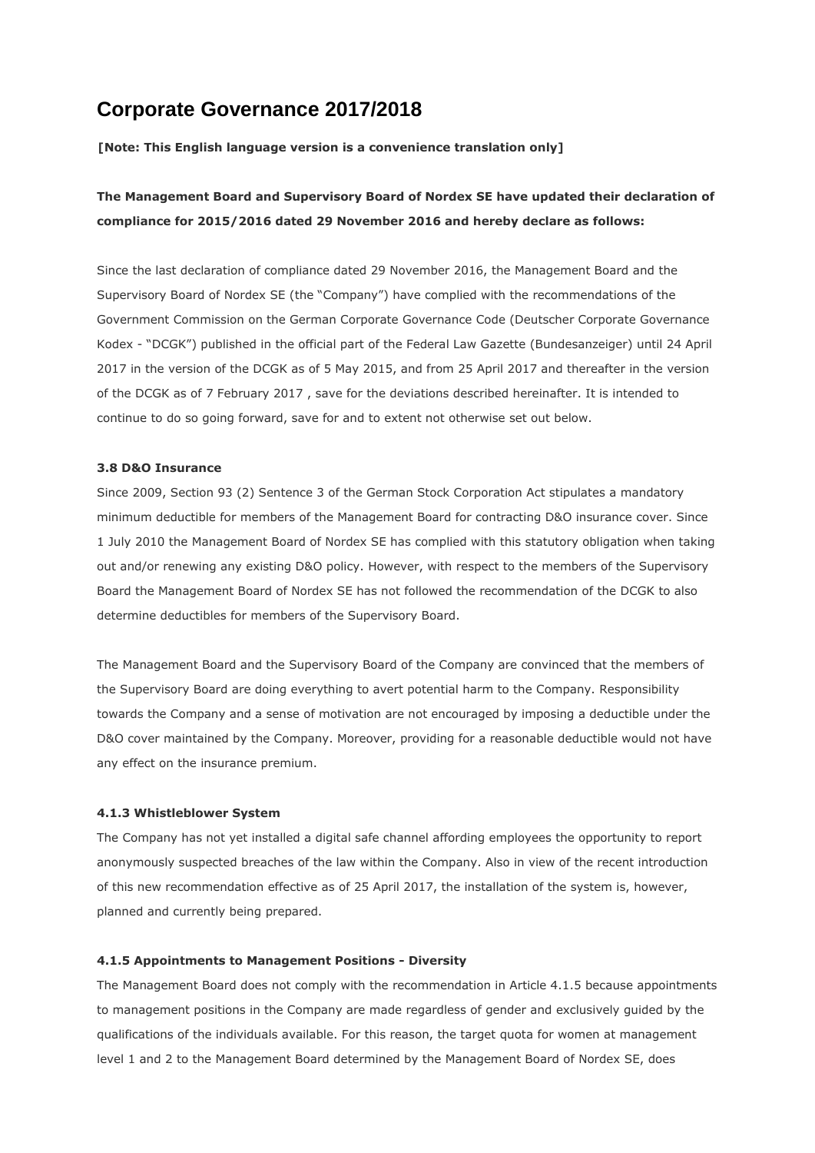# **Corporate Governance 2017/2018**

### **[Note: This English language version is a convenience translation only]**

# **The Management Board and Supervisory Board of Nordex SE have updated their declaration of compliance for 2015/2016 dated 29 November 2016 and hereby declare as follows:**

Since the last declaration of compliance dated 29 November 2016, the Management Board and the Supervisory Board of Nordex SE (the "Company") have complied with the recommendations of the Government Commission on the German Corporate Governance Code (Deutscher Corporate Governance Kodex - "DCGK") published in the official part of the Federal Law Gazette (Bundesanzeiger) until 24 April 2017 in the version of the DCGK as of 5 May 2015, and from 25 April 2017 and thereafter in the version of the DCGK as of 7 February 2017 , save for the deviations described hereinafter. It is intended to continue to do so going forward, save for and to extent not otherwise set out below.

#### **3.8 D&O Insurance**

Since 2009, Section 93 (2) Sentence 3 of the German Stock Corporation Act stipulates a mandatory minimum deductible for members of the Management Board for contracting D&O insurance cover. Since 1 July 2010 the Management Board of Nordex SE has complied with this statutory obligation when taking out and/or renewing any existing D&O policy. However, with respect to the members of the Supervisory Board the Management Board of Nordex SE has not followed the recommendation of the DCGK to also determine deductibles for members of the Supervisory Board.

The Management Board and the Supervisory Board of the Company are convinced that the members of the Supervisory Board are doing everything to avert potential harm to the Company. Responsibility towards the Company and a sense of motivation are not encouraged by imposing a deductible under the D&O cover maintained by the Company. Moreover, providing for a reasonable deductible would not have any effect on the insurance premium.

#### **4.1.3 Whistleblower System**

The Company has not yet installed a digital safe channel affording employees the opportunity to report anonymously suspected breaches of the law within the Company. Also in view of the recent introduction of this new recommendation effective as of 25 April 2017, the installation of the system is, however, planned and currently being prepared.

# **4.1.5 Appointments to Management Positions - Diversity**

The Management Board does not comply with the recommendation in Article 4.1.5 because appointments to management positions in the Company are made regardless of gender and exclusively guided by the qualifications of the individuals available. For this reason, the target quota for women at management level 1 and 2 to the Management Board determined by the Management Board of Nordex SE, does